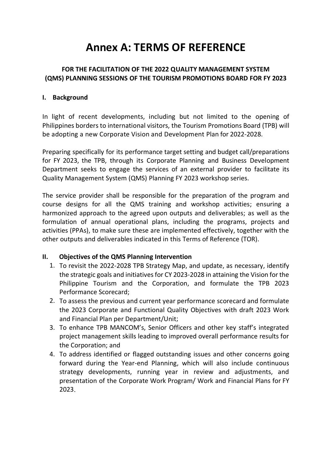# **Annex A: TERMS OF REFERENCE**

# **FOR THE FACILITATION OF THE 2022 QUALITY MANAGEMENT SYSTEM (QMS) PLANNING SESSIONS OF THE TOURISM PROMOTIONS BOARD FOR FY 2023**

#### **I. Background**

In light of recent developments, including but not limited to the opening of Philippines borders to international visitors, the Tourism Promotions Board (TPB) will be adopting a new Corporate Vision and Development Plan for 2022-2028.

Preparing specifically for its performance target setting and budget call/preparations for FY 2023, the TPB, through its Corporate Planning and Business Development Department seeks to engage the services of an external provider to facilitate its Quality Management System (QMS) Planning FY 2023 workshop series.

The service provider shall be responsible for the preparation of the program and course designs for all the QMS training and workshop activities; ensuring a harmonized approach to the agreed upon outputs and deliverables; as well as the formulation of annual operational plans, including the programs, projects and activities (PPAs), to make sure these are implemented effectively, together with the other outputs and deliverables indicated in this Terms of Reference (TOR).

#### **II. Objectives of the QMS Planning Intervention**

- 1. To revisit the 2022-2028 TPB Strategy Map, and update, as necessary, identify the strategic goals and initiatives for CY 2023-2028 in attaining the Vision for the Philippine Tourism and the Corporation, and formulate the TPB 2023 Performance Scorecard;
- 2. To assess the previous and current year performance scorecard and formulate the 2023 Corporate and Functional Quality Objectives with draft 2023 Work and Financial Plan per Department/Unit;
- 3. To enhance TPB MANCOM's, Senior Officers and other key staff's integrated project management skills leading to improved overall performance results for the Corporation; and
- 4. To address identified or flagged outstanding issues and other concerns going forward during the Year-end Planning, which will also include continuous strategy developments, running year in review and adjustments, and presentation of the Corporate Work Program/ Work and Financial Plans for FY 2023.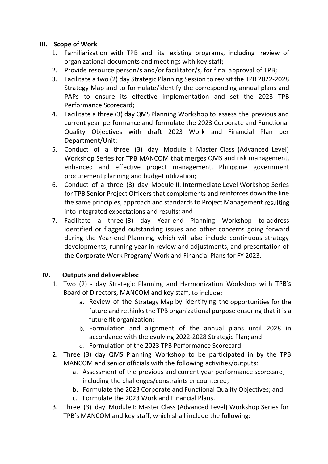#### **III. Scope of Work**

- 1. Familiarization with TPB and its existing programs, including review of organizational documents and meetings with key staff;
- 2. Provide resource person/s and/or facilitator/s, for final approval of TPB;
- 3. Facilitate a two (2) day Strategic Planning Session to revisit the TPB 2022-2028 Strategy Map and to formulate/identify the corresponding annual plans and PAPs to ensure its effective implementation and set the 2023 TPB Performance Scorecard;
- 4. Facilitate a three (3) day QMS Planning Workshop to assess the previous and current year performance and formulate the 2023 Corporate and Functional Quality Objectives with draft 2023 Work and Financial Plan per Department/Unit;
- 5. Conduct of a three (3) day Module I: Master Class (Advanced Level) Workshop Series for TPB MANCOM that merges QMS and risk management, enhanced and effective project management, Philippine government procurement planning and budget utilization;
- 6. Conduct of a three (3) day Module II: Intermediate Level Workshop Series for TPB Senior Project Officers that complements and reinforces down the line the same principles, approach and standards to Project Management resulting into integrated expectations and results; and
- 7. Facilitate a three (3) day Year-end Planning Workshop to address identified or flagged outstanding issues and other concerns going forward during the Year-end Planning, which will also include continuous strategy developments, running year in review and adjustments, and presentation of the Corporate Work Program/ Work and Financial Plans for FY 2023.

# **IV. Outputs and deliverables:**

- 1. Two (2) day Strategic Planning and Harmonization Workshop with TPB's Board of Directors, MANCOM and key staff, to include:
	- a. Review of the Strategy Map by identifying the opportunities for the future and rethinks the TPB organizational purpose ensuring that it is a future fit organization;
	- b. Formulation and alignment of the annual plans until 2028 in accordance with the evolving 2022-2028 Strategic Plan; and
	- c. Formulation of the 2023 TPB Performance Scorecard.
- 2. Three (3) day QMS Planning Workshop to be participated in by the TPB MANCOM and senior officials with the following activities/outputs:
	- a. Assessment of the previous and current year performance scorecard, including the challenges/constraints encountered;
	- b. Formulate the 2023 Corporate and Functional Quality Objectives; and
	- c. Formulate the 2023 Work and Financial Plans.
- 3. Three (3) day Module I: Master Class (Advanced Level) Workshop Series for TPB's MANCOM and key staff, which shall include the following: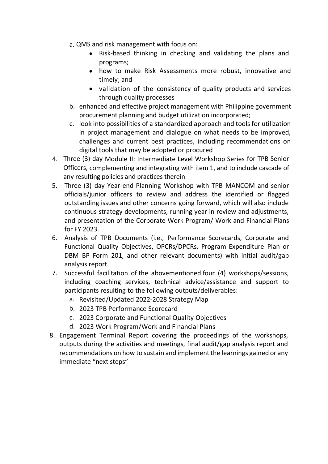- a. QMS and risk management with focus on:
	- Risk-based thinking in checking and validating the plans and programs;
	- how to make Risk Assessments more robust, innovative and timely; and
	- validation of the consistency of quality products and services through quality processes
- b. enhanced and effective project management with Philippine government procurement planning and budget utilization incorporated;
- c. look into possibilities of a standardized approach and tools for utilization in project management and dialogue on what needs to be improved, challenges and current best practices, including recommendations on digital tools that may be adopted or procured
- 4. Three (3) day Module II: Intermediate Level Workshop Series for TPB Senior Officers, complementing and integrating with item 1, and to include cascade of any resulting policies and practices therein
- 5. Three (3) day Year-end Planning Workshop with TPB MANCOM and senior officials/junior officers to review and address the identified or flagged outstanding issues and other concerns going forward, which will also include continuous strategy developments, running year in review and adjustments, and presentation of the Corporate Work Program/ Work and Financial Plans for FY 2023.
- 6. Analysis of TPB Documents (i.e., Performance Scorecards, Corporate and Functional Quality Objectives, OPCRs/DPCRs, Program Expenditure Plan or DBM BP Form 201, and other relevant documents) with initial audit/gap analysis report.
- 7. Successful facilitation of the abovementioned four (4) workshops/sessions, including coaching services, technical advice/assistance and support to participants resulting to the following outputs/deliverables:
	- a. Revisited/Updated 2022-2028 Strategy Map
	- b. 2023 TPB Performance Scorecard
	- c. 2023 Corporate and Functional Quality Objectives
	- d. 2023 Work Program/Work and Financial Plans
- 8. Engagement Terminal Report covering the proceedings of the workshops, outputs during the activities and meetings, final audit/gap analysis report and recommendations on how to sustain and implement the learnings gained or any immediate "next steps"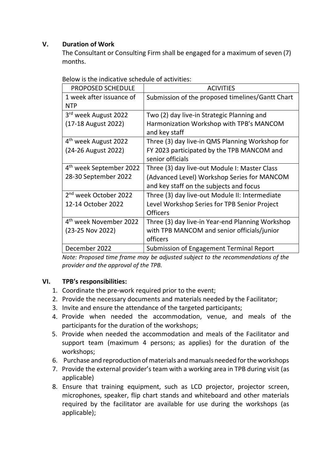## **V. Duration of Work**

The Consultant or Consulting Firm shall be engaged for a maximum of seven (7) months.

| <b>PROPOSED SCHEDULE</b>            | <b>ACIVITIES</b>                                 |
|-------------------------------------|--------------------------------------------------|
| 1 week after issuance of            | Submission of the proposed timelines/Gantt Chart |
| <b>NTP</b>                          |                                                  |
| 3 <sup>rd</sup> week August 2022    | Two (2) day live-in Strategic Planning and       |
| (17-18 August 2022)                 | Harmonization Workshop with TPB's MANCOM         |
|                                     | and key staff                                    |
| 4 <sup>th</sup> week August 2022    | Three (3) day live-in QMS Planning Workshop for  |
| (24-26 August 2022)                 | FY 2023 participated by the TPB MANCOM and       |
|                                     | senior officials                                 |
| 4 <sup>th</sup> week September 2022 | Three (3) day live-out Module I: Master Class    |
| 28-30 September 2022                | (Advanced Level) Workshop Series for MANCOM      |
|                                     | and key staff on the subjects and focus          |
| 2 <sup>nd</sup> week October 2022   | Three (3) day live-out Module II: Intermediate   |
| 12-14 October 2022                  | Level Workshop Series for TPB Senior Project     |
|                                     | <b>Officers</b>                                  |
| 4 <sup>th</sup> week November 2022  | Three (3) day live-in Year-end Planning Workshop |
| (23-25 Nov 2022)                    | with TPB MANCOM and senior officials/junior      |
|                                     | officers                                         |
| December 2022                       | Submission of Engagement Terminal Report         |

Below is the indicative schedule of activities:

*Note: Proposed time frame may be adjusted subject to the recommendations of the provider and the approval of the TPB.*

#### **VI. TPB's responsibilities:**

- 1. Coordinate the pre-work required prior to the event;
- 2. Provide the necessary documents and materials needed by the Facilitator;
- 3. Invite and ensure the attendance of the targeted participants;
- 4. Provide when needed the accommodation, venue, and meals of the participants for the duration of the workshops;
- 5. Provide when needed the accommodation and meals of the Facilitator and support team (maximum 4 persons; as applies) for the duration of the workshops;
- 6. Purchase and reproduction of materials and manuals needed for the workshops
- 7. Provide the external provider's team with a working area in TPB during visit (as applicable)
- 8. Ensure that training equipment, such as LCD projector, projector screen, microphones, speaker, flip chart stands and whiteboard and other materials required by the facilitator are available for use during the workshops (as applicable);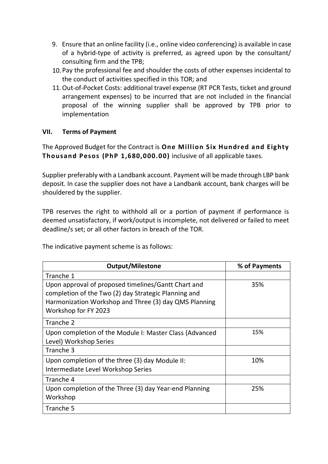- 9. Ensure that an online facility (i.e., online video conferencing) is available in case of a hybrid-type of activity is preferred, as agreed upon by the consultant/ consulting firm and the TPB;
- 10. Pay the professional fee and shoulder the costs of other expenses incidental to the conduct of activities specified in this TOR; and
- 11.Out-of-Pocket Costs: additional travel expense (RT PCR Tests, ticket and ground arrangement expenses) to be incurred that are not included in the financial proposal of the winning supplier shall be approved by TPB prior to implementation

# **VII. Terms of Payment**

The Approved Budget for the Contract is **One Million Six Hundred and Eighty Thousand Pesos (PhP 1,680,000.00)** inclusive of all applicable taxes.

Supplier preferably with a Landbank account. Payment will be made through LBP bank deposit. In case the supplier does not have a Landbank account, bank charges will be shouldered by the supplier.

TPB reserves the right to withhold all or a portion of payment if performance is deemed unsatisfactory, if work/output is incomplete, not delivered or failed to meet deadline/s set; or all other factors in breach of the TOR.

The indicative payment scheme is as follows:

| <b>Output/Milestone</b>                                                                                                                                                                      | % of Payments |
|----------------------------------------------------------------------------------------------------------------------------------------------------------------------------------------------|---------------|
| Tranche 1                                                                                                                                                                                    |               |
| Upon approval of proposed timelines/Gantt Chart and<br>completion of the Two (2) day Strategic Planning and<br>Harmonization Workshop and Three (3) day QMS Planning<br>Workshop for FY 2023 | 35%           |
| Tranche 2                                                                                                                                                                                    |               |
| Upon completion of the Module I: Master Class (Advanced<br>Level) Workshop Series                                                                                                            | 15%           |
| Tranche 3                                                                                                                                                                                    |               |
| Upon completion of the three (3) day Module II:<br>Intermediate Level Workshop Series                                                                                                        | 10%           |
| Tranche 4                                                                                                                                                                                    |               |
| Upon completion of the Three (3) day Year-end Planning<br>Workshop                                                                                                                           | 25%           |
| Tranche 5                                                                                                                                                                                    |               |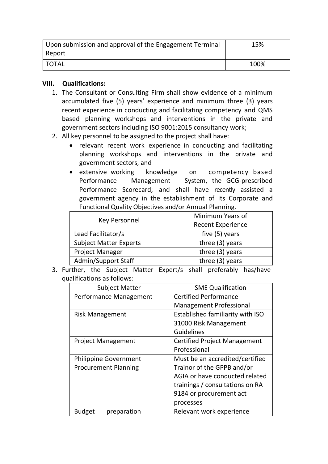| Upon submission and approval of the Engagement Terminal | 15%  |
|---------------------------------------------------------|------|
| Report                                                  |      |
| ' TOTAL                                                 | 100% |

#### **VIII. Qualifications:**

- 1. The Consultant or Consulting Firm shall show evidence of a minimum accumulated five (5) years' experience and minimum three (3) years recent experience in conducting and facilitating competency and QMS based planning workshops and interventions in the private and government sectors including ISO 9001:2015 consultancy work;
- 2. All key personnel to be assigned to the project shall have:
	- relevant recent work experience in conducting and facilitating planning workshops and interventions in the private and government sectors, and
	- extensive working knowledge on competency based Performance Management System, the GCG-prescribed Performance Scorecard; and shall have recently assisted a government agency in the establishment of its Corporate and Functional Quality Objectives and/or Annual Planning.

|                               | Minimum Years of         |  |
|-------------------------------|--------------------------|--|
| <b>Key Personnel</b>          | <b>Recent Experience</b> |  |
| Lead Facilitator/s            | five (5) years           |  |
| <b>Subject Matter Experts</b> | three $(3)$ years        |  |
| <b>Project Manager</b>        | three $(3)$ years        |  |
| Admin/Support Staff           | three (3) years          |  |

3. Further, the Subject Matter Expert/s shall preferably has/have qualifications as follows:

| <b>Subject Matter</b>        | <b>SME Qualification</b>                |
|------------------------------|-----------------------------------------|
| Performance Management       | <b>Certified Performance</b>            |
|                              | <b>Management Professional</b>          |
| <b>Risk Management</b>       | <b>Established familiarity with ISO</b> |
|                              | 31000 Risk Management                   |
|                              | <b>Guidelines</b>                       |
| <b>Project Management</b>    | <b>Certified Project Management</b>     |
|                              | Professional                            |
| <b>Philippine Government</b> | Must be an accredited/certified         |
| <b>Procurement Planning</b>  | Trainor of the GPPB and/or              |
|                              | AGIA or have conducted related          |
|                              | trainings / consultations on RA         |
|                              | 9184 or procurement act                 |
|                              | processes                               |
| <b>Budget</b><br>preparation | Relevant work experience                |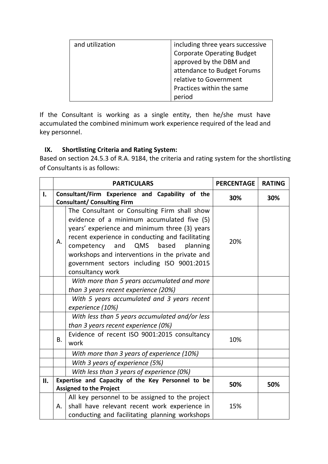| and utilization | including three years successive  |
|-----------------|-----------------------------------|
|                 | <b>Corporate Operating Budget</b> |
|                 | approved by the DBM and           |
|                 | attendance to Budget Forums       |
|                 | relative to Government            |
|                 | Practices within the same         |
|                 | period                            |

If the Consultant is working as a single entity, then he/she must have accumulated the combined minimum work experience required of the lead and key personnel.

# **IX. Shortlisting Criteria and Rating System:**

Based on section 24.5.3 of R.A. 9184, the criteria and rating system for the shortlisting of Consultants is as follows:

|     |                                                                                        | <b>PARTICULARS</b>                                                                                                                                                                                                                                                                                                                                                   | <b>PERCENTAGE</b> | <b>RATING</b> |
|-----|----------------------------------------------------------------------------------------|----------------------------------------------------------------------------------------------------------------------------------------------------------------------------------------------------------------------------------------------------------------------------------------------------------------------------------------------------------------------|-------------------|---------------|
| I.  | Consultant/Firm Experience and Capability of the<br><b>Consultant/ Consulting Firm</b> |                                                                                                                                                                                                                                                                                                                                                                      | 30%               | 30%           |
|     | Α.                                                                                     | The Consultant or Consulting Firm shall show<br>evidence of a minimum accumulated five (5)<br>years' experience and minimum three (3) years<br>recent experience in conducting and facilitating<br>based<br>competency<br>and<br>QMS<br>planning<br>workshops and interventions in the private and<br>government sectors including ISO 9001:2015<br>consultancy work | 20%               |               |
|     | With more than 5 years accumulated and more<br>than 3 years recent experience (20%)    |                                                                                                                                                                                                                                                                                                                                                                      |                   |               |
|     |                                                                                        | With 5 years accumulated and 3 years recent<br>experience (10%)                                                                                                                                                                                                                                                                                                      |                   |               |
|     |                                                                                        | With less than 5 years accumulated and/or less<br>than 3 years recent experience (0%)                                                                                                                                                                                                                                                                                |                   |               |
|     | <b>B.</b>                                                                              | Evidence of recent ISO 9001:2015 consultancy<br>work                                                                                                                                                                                                                                                                                                                 | 10%               |               |
|     | With more than 3 years of experience (10%)                                             |                                                                                                                                                                                                                                                                                                                                                                      |                   |               |
|     | With 3 years of experience (5%)                                                        |                                                                                                                                                                                                                                                                                                                                                                      |                   |               |
|     |                                                                                        | With less than 3 years of experience (0%)                                                                                                                                                                                                                                                                                                                            |                   |               |
| II. |                                                                                        | Expertise and Capacity of the Key Personnel to be<br><b>Assigned to the Project</b>                                                                                                                                                                                                                                                                                  | 50%               | 50%           |
|     | Α.                                                                                     | All key personnel to be assigned to the project<br>shall have relevant recent work experience in<br>conducting and facilitating planning workshops                                                                                                                                                                                                                   | 15%               |               |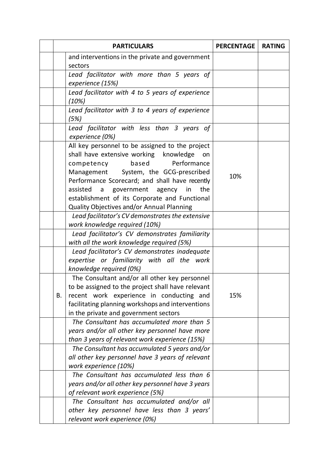|    | <b>PARTICULARS</b>                                                                                                                                                                                                                                                                                                                                                             | <b>PERCENTAGE</b> | <b>RATING</b> |
|----|--------------------------------------------------------------------------------------------------------------------------------------------------------------------------------------------------------------------------------------------------------------------------------------------------------------------------------------------------------------------------------|-------------------|---------------|
|    | and interventions in the private and government                                                                                                                                                                                                                                                                                                                                |                   |               |
|    | sectors                                                                                                                                                                                                                                                                                                                                                                        |                   |               |
|    | Lead facilitator with more than 5 years of<br>experience (15%)                                                                                                                                                                                                                                                                                                                 |                   |               |
|    | Lead facilitator with 4 to 5 years of experience<br>(10%)                                                                                                                                                                                                                                                                                                                      |                   |               |
|    | Lead facilitator with 3 to 4 years of experience<br>(5%)                                                                                                                                                                                                                                                                                                                       |                   |               |
|    | Lead facilitator with less than 3 years of<br>experience (0%)                                                                                                                                                                                                                                                                                                                  |                   |               |
|    | All key personnel to be assigned to the project<br>shall have extensive working knowledge<br>on<br>based<br>Performance<br>competency<br>Management System, the GCG-prescribed<br>Performance Scorecard; and shall have recently<br>a government agency<br>the<br>assisted<br>in<br>establishment of its Corporate and Functional<br>Quality Objectives and/or Annual Planning | 10%               |               |
|    | Lead facilitator's CV demonstrates the extensive                                                                                                                                                                                                                                                                                                                               |                   |               |
|    | work knowledge required (10%)<br>Lead facilitator's CV demonstrates familiarity<br>with all the work knowledge required (5%)                                                                                                                                                                                                                                                   |                   |               |
|    | Lead facilitator's CV demonstrates inadequate<br>expertise or familiarity with all the work<br>knowledge required (0%)                                                                                                                                                                                                                                                         |                   |               |
| В. | The Consultant and/or all other key personnel<br>to be assigned to the project shall have relevant<br>recent work experience in conducting and<br>facilitating planning workshops and interventions<br>in the private and government sectors                                                                                                                                   | 15%               |               |
|    | The Consultant has accumulated more than 5<br>years and/or all other key personnel have more<br>than 3 years of relevant work experience (15%)                                                                                                                                                                                                                                 |                   |               |
|    | The Consultant has accumulated 5 years and/or<br>all other key personnel have 3 years of relevant<br>work experience (10%)                                                                                                                                                                                                                                                     |                   |               |
|    | The Consultant has accumulated less than 6<br>years and/or all other key personnel have 3 years<br>of relevant work experience (5%)                                                                                                                                                                                                                                            |                   |               |
|    | The Consultant has accumulated and/or all<br>other key personnel have less than 3 years'<br>relevant work experience (0%)                                                                                                                                                                                                                                                      |                   |               |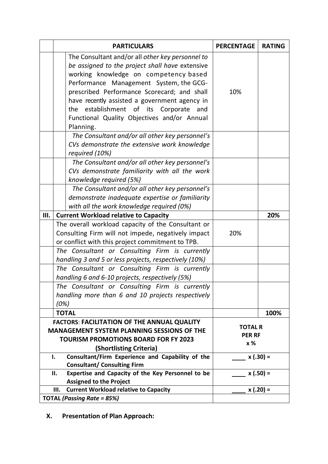|    | <b>PARTICULARS</b>                                                                                 | <b>PERCENTAGE</b> | <b>RATING</b> |  |  |
|----|----------------------------------------------------------------------------------------------------|-------------------|---------------|--|--|
|    | The Consultant and/or all other key personnel to                                                   |                   |               |  |  |
|    | be assigned to the project shall have extensive                                                    |                   |               |  |  |
|    | working knowledge on competency based                                                              |                   |               |  |  |
|    | Performance Management System, the GCG-                                                            |                   |               |  |  |
|    | prescribed Performance Scorecard; and shall                                                        | 10%               |               |  |  |
|    | have recently assisted a government agency in                                                      |                   |               |  |  |
|    | the establishment of its Corporate<br>and                                                          |                   |               |  |  |
|    | Functional Quality Objectives and/or Annual                                                        |                   |               |  |  |
|    | Planning.                                                                                          |                   |               |  |  |
|    | The Consultant and/or all other key personnel's                                                    |                   |               |  |  |
|    | CVs demonstrate the extensive work knowledge                                                       |                   |               |  |  |
|    | required (10%)                                                                                     |                   |               |  |  |
|    | The Consultant and/or all other key personnel's                                                    |                   |               |  |  |
|    | CVs demonstrate familiarity with all the work                                                      |                   |               |  |  |
|    | knowledge required (5%)                                                                            |                   |               |  |  |
|    | The Consultant and/or all other key personnel's                                                    |                   |               |  |  |
|    | demonstrate inadequate expertise or familiarity                                                    |                   |               |  |  |
|    | with all the work knowledge required (0%)                                                          |                   |               |  |  |
| Ш. | <b>Current Workload relative to Capacity</b>                                                       |                   | 20%           |  |  |
|    | The overall workload capacity of the Consultant or                                                 |                   |               |  |  |
|    | Consulting Firm will not impede, negatively impact                                                 | 20%               |               |  |  |
|    | or conflict with this project commitment to TPB.                                                   |                   |               |  |  |
|    | The Consultant or Consulting Firm is currently                                                     |                   |               |  |  |
|    | handling 3 and 5 or less projects, respectively (10%)                                              |                   |               |  |  |
|    | The Consultant or Consulting Firm is currently                                                     |                   |               |  |  |
|    | handling 6 and 6-10 projects, respectively (5%)                                                    |                   |               |  |  |
|    | The Consultant or Consulting Firm is currently                                                     |                   |               |  |  |
|    | handling more than 6 and 10 projects respectively                                                  |                   |               |  |  |
|    | (0%)                                                                                               |                   |               |  |  |
|    | <b>TOTAL</b><br>100%                                                                               |                   |               |  |  |
|    | <b>FACTORS: FACILITATION OF THE ANNUAL QUALITY</b>                                                 |                   |               |  |  |
|    | <b>TOTAL R</b><br><b>MANAGEMENT SYSTEM PLANNING SESSIONS OF THE</b><br><b>PER RF</b>               |                   |               |  |  |
|    | <b>TOURISM PROMOTIONS BOARD FOR FY 2023</b><br>x%                                                  |                   |               |  |  |
|    | (Shortlisting Criteria)                                                                            |                   |               |  |  |
|    | Consultant/Firm Experience and Capability of the<br>ı.                                             |                   | $x(.30) =$    |  |  |
|    | <b>Consultant/ Consulting Firm</b>                                                                 |                   |               |  |  |
|    | Expertise and Capacity of the Key Personnel to be<br>П.                                            |                   | $x(.50) =$    |  |  |
|    | <b>Assigned to the Project</b><br><b>Current Workload relative to Capacity</b><br>$x(.20) =$<br>Ш. |                   |               |  |  |
|    | <b>TOTAL (Passing Rate = 85%)</b>                                                                  |                   |               |  |  |
|    |                                                                                                    |                   |               |  |  |

**X. Presentation of Plan Approach:**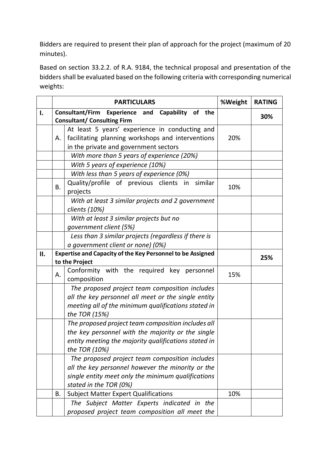Bidders are required to present their plan of approach for the project (maximum of 20 minutes).

Based on section 33.2.2. of R.A. 9184, the technical proposal and presentation of the bidders shall be evaluated based on the following criteria with corresponding numerical weights:

|    | <b>PARTICULARS</b>                                                                                  |                                                                                                                                                                                     | %Weight | <b>RATING</b> |
|----|-----------------------------------------------------------------------------------------------------|-------------------------------------------------------------------------------------------------------------------------------------------------------------------------------------|---------|---------------|
| I. | Consultant/Firm<br><b>Experience and Capability</b><br>of the<br><b>Consultant/ Consulting Firm</b> |                                                                                                                                                                                     |         | 30%           |
|    | Α.                                                                                                  | At least 5 years' experience in conducting and<br>facilitating planning workshops and interventions<br>in the private and government sectors                                        | 20%     |               |
|    |                                                                                                     | With more than 5 years of experience (20%)                                                                                                                                          |         |               |
|    |                                                                                                     | With 5 years of experience (10%)                                                                                                                                                    |         |               |
|    |                                                                                                     | With less than 5 years of experience (0%)                                                                                                                                           |         |               |
|    | <b>B.</b>                                                                                           | Quality/profile of previous clients in similar<br>projects                                                                                                                          | 10%     |               |
|    |                                                                                                     | With at least 3 similar projects and 2 government<br>clients (10%)                                                                                                                  |         |               |
|    |                                                                                                     | With at least 3 similar projects but no<br>government client (5%)                                                                                                                   |         |               |
|    |                                                                                                     | Less than 3 similar projects (regardless if there is<br>a government client or none) (0%)                                                                                           |         |               |
| П. | <b>Expertise and Capacity of the Key Personnel to be Assigned</b>                                   |                                                                                                                                                                                     |         |               |
|    |                                                                                                     | to the Project                                                                                                                                                                      |         | 25%           |
|    | А.                                                                                                  | Conformity with the required key personnel<br>composition                                                                                                                           | 15%     |               |
|    |                                                                                                     | The proposed project team composition includes<br>all the key personnel all meet or the single entity<br>meeting all of the minimum qualifications stated in<br>the TOR (15%)       |         |               |
|    |                                                                                                     | The proposed project team composition includes all<br>the key personnel with the majority or the single<br>entity meeting the majority qualifications stated in<br>the TOR (10%)    |         |               |
|    |                                                                                                     | The proposed project team composition includes<br>all the key personnel however the minority or the<br>single entity meet only the minimum qualifications<br>stated in the TOR (0%) |         |               |
|    | Β.                                                                                                  | <b>Subject Matter Expert Qualifications</b>                                                                                                                                         | 10%     |               |
|    |                                                                                                     | The Subject Matter Experts indicated in the<br>proposed project team composition all meet the                                                                                       |         |               |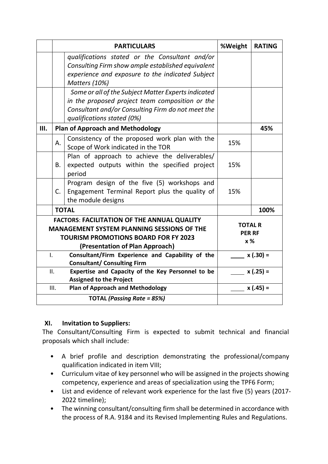|              |                                                                                                                                                                                           | <b>PARTICULARS</b>                                                                                                   | %Weight | <b>RATING</b>                          |
|--------------|-------------------------------------------------------------------------------------------------------------------------------------------------------------------------------------------|----------------------------------------------------------------------------------------------------------------------|---------|----------------------------------------|
|              |                                                                                                                                                                                           | qualifications stated or the Consultant and/or                                                                       |         |                                        |
|              |                                                                                                                                                                                           | Consulting Firm show ample established equivalent                                                                    |         |                                        |
|              |                                                                                                                                                                                           | experience and exposure to the indicated Subject                                                                     |         |                                        |
|              |                                                                                                                                                                                           | Matters (10%)                                                                                                        |         |                                        |
|              |                                                                                                                                                                                           | Some or all of the Subject Matter Experts indicated                                                                  |         |                                        |
|              |                                                                                                                                                                                           | in the proposed project team composition or the                                                                      |         |                                        |
|              |                                                                                                                                                                                           | Consultant and/or Consulting Firm do not meet the                                                                    |         |                                        |
|              |                                                                                                                                                                                           | qualifications stated (0%)                                                                                           |         |                                        |
| III.         |                                                                                                                                                                                           | <b>Plan of Approach and Methodology</b>                                                                              |         | 45%                                    |
|              | А.                                                                                                                                                                                        | Consistency of the proposed work plan with the<br>Scope of Work indicated in the TOR                                 | 15%     |                                        |
|              | В.                                                                                                                                                                                        | Plan of approach to achieve the deliverables/<br>expected outputs within the specified project<br>period             | 15%     |                                        |
|              | C.                                                                                                                                                                                        | Program design of the five (5) workshops and<br>Engagement Terminal Report plus the quality of<br>the module designs | 15%     |                                        |
|              |                                                                                                                                                                                           | <b>TOTAL</b>                                                                                                         |         | 100%                                   |
|              | <b>FACTORS: FACILITATION OF THE ANNUAL QUALITY</b><br><b>MANAGEMENT SYSTEM PLANNING SESSIONS OF THE</b><br><b>TOURISM PROMOTIONS BOARD FOR FY 2023</b><br>(Presentation of Plan Approach) |                                                                                                                      |         | <b>TOTAL R</b><br><b>PER RF</b><br>x % |
| $\mathbf{L}$ |                                                                                                                                                                                           | Consultant/Firm Experience and Capability of the<br><b>Consultant/ Consulting Firm</b>                               |         | $x(.30) =$                             |
|              | II.                                                                                                                                                                                       | Expertise and Capacity of the Key Personnel to be<br><b>Assigned to the Project</b>                                  |         | $x(.25) =$                             |
|              | III.                                                                                                                                                                                      | <b>Plan of Approach and Methodology</b>                                                                              |         | $x(.45) =$                             |
|              |                                                                                                                                                                                           | <b>TOTAL (Passing Rate = 85%)</b>                                                                                    |         |                                        |

#### **XI. Invitation to Suppliers:**

The Consultant/Consulting Firm is expected to submit technical and financial proposals which shall include:

- A brief profile and description demonstrating the professional/company qualification indicated in item VIII;
- Curriculum vitae of key personnel who will be assigned in the projects showing competency, experience and areas of specialization using the TPF6 Form;
- List and evidence of relevant work experience for the last five (5) years (2017- 2022 timeline);
- The winning consultant/consulting firm shall be determined in accordance with the process of R.A. 9184 and its Revised Implementing Rules and Regulations.